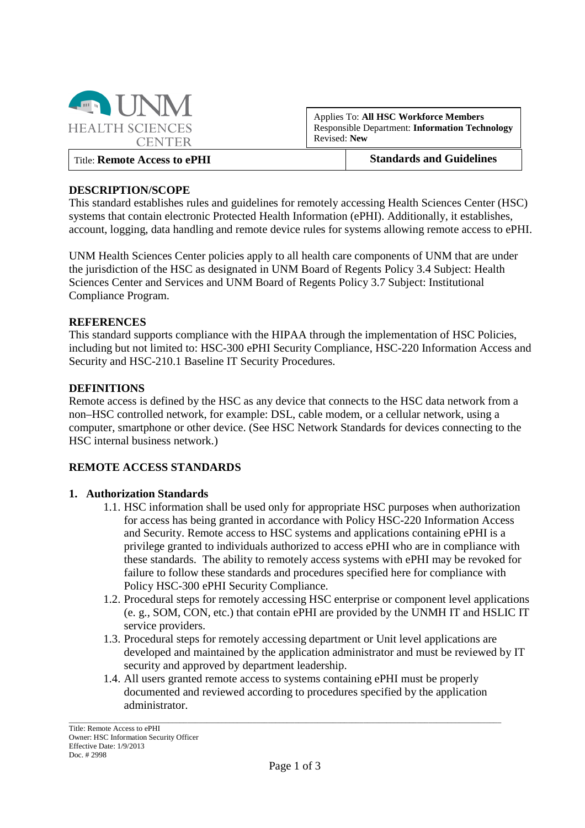

Applies To: **All HSC Workforce Members** Responsible Department: **Information Technology** Revised: **New**

Title: **Remote Access to ePHI Standards and Guidelines**

### **DESCRIPTION/SCOPE**

This standard establishes rules and guidelines for remotely accessing Health Sciences Center (HSC) systems that contain electronic Protected Health Information (ePHI). Additionally, it establishes, account, logging, data handling and remote device rules for systems allowing remote access to ePHI.

UNM Health Sciences Center policies apply to all health care components of UNM that are under the jurisdiction of the HSC as designated in UNM Board of Regents Policy 3.4 Subject: Health Sciences Center and Services and UNM Board of Regents Policy 3.7 Subject: Institutional Compliance Program.

#### **REFERENCES**

This standard supports compliance with the HIPAA through the implementation of HSC Policies, including but not limited to: HSC-300 ePHI Security Compliance, HSC-220 Information Access and Security and HSC-210.1 Baseline IT Security Procedures.

#### **DEFINITIONS**

Remote access is defined by the HSC as any device that connects to the HSC data network from a non–HSC controlled network, for example: DSL, cable modem, or a cellular network, using a computer, smartphone or other device. (See HSC Network Standards for devices connecting to the HSC internal business network.)

#### **REMOTE ACCESS STANDARDS**

#### **1. Authorization Standards**

- 1.1. HSC information shall be used only for appropriate HSC purposes when authorization for access has being granted in accordance with Policy HSC-220 Information Access and Security. Remote access to HSC systems and applications containing ePHI is a privilege granted to individuals authorized to access ePHI who are in compliance with these standards. The ability to remotely access systems with ePHI may be revoked for failure to follow these standards and procedures specified here for compliance with Policy HSC-300 ePHI Security Compliance.
- 1.2. Procedural steps for remotely accessing HSC enterprise or component level applications (e. g., SOM, CON, etc.) that contain ePHI are provided by the UNMH IT and HSLIC IT service providers.
- 1.3. Procedural steps for remotely accessing department or Unit level applications are developed and maintained by the application administrator and must be reviewed by IT security and approved by department leadership.
- 1.4. All users granted remote access to systems containing ePHI must be properly documented and reviewed according to procedures specified by the application administrator.

\_\_\_\_\_\_\_\_\_\_\_\_\_\_\_\_\_\_\_\_\_\_\_\_\_\_\_\_\_\_\_\_\_\_\_\_\_\_\_\_\_\_\_\_\_\_\_\_\_\_\_\_\_\_\_\_\_\_\_\_\_\_\_\_\_\_\_\_\_\_\_\_\_\_\_\_\_\_\_\_\_\_\_\_\_\_\_\_\_\_\_\_\_\_\_\_\_\_\_\_\_\_\_\_\_\_\_\_\_\_\_\_\_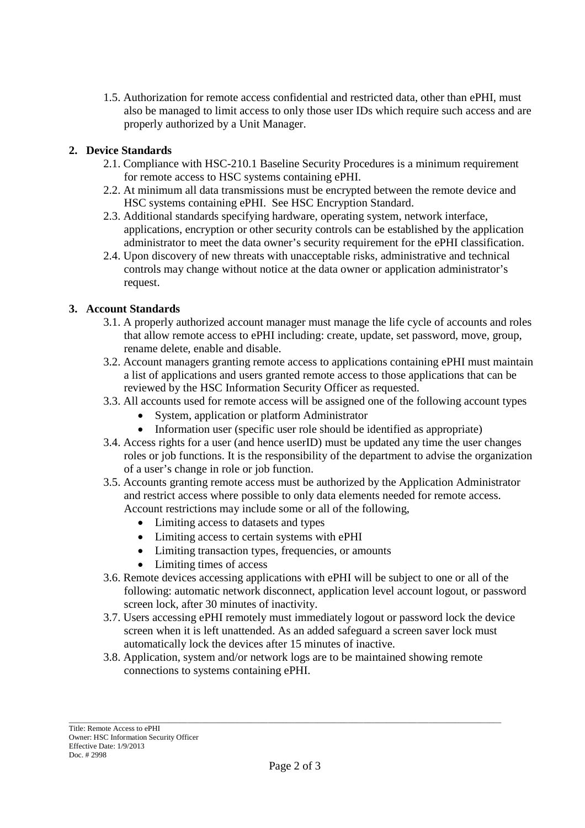1.5. Authorization for remote access confidential and restricted data, other than ePHI, must also be managed to limit access to only those user IDs which require such access and are properly authorized by a Unit Manager.

# **2. Device Standards**

- 2.1. Compliance with HSC-210.1 Baseline Security Procedures is a minimum requirement for remote access to HSC systems containing ePHI.
- 2.2. At minimum all data transmissions must be encrypted between the remote device and HSC systems containing ePHI. See HSC Encryption Standard.
- 2.3. Additional standards specifying hardware, operating system, network interface, applications, encryption or other security controls can be established by the application administrator to meet the data owner's security requirement for the ePHI classification.
- 2.4. Upon discovery of new threats with unacceptable risks, administrative and technical controls may change without notice at the data owner or application administrator's request.

# **3. Account Standards**

- 3.1. A properly authorized account manager must manage the life cycle of accounts and roles that allow remote access to ePHI including: create, update, set password, move, group, rename delete, enable and disable.
- 3.2. Account managers granting remote access to applications containing ePHI must maintain a list of applications and users granted remote access to those applications that can be reviewed by the HSC Information Security Officer as requested.
- 3.3. All accounts used for remote access will be assigned one of the following account types
	- System, application or platform Administrator
	- Information user (specific user role should be identified as appropriate)
- 3.4. Access rights for a user (and hence userID) must be updated any time the user changes roles or job functions. It is the responsibility of the department to advise the organization of a user's change in role or job function.
- 3.5. Accounts granting remote access must be authorized by the Application Administrator and restrict access where possible to only data elements needed for remote access. Account restrictions may include some or all of the following,
	- Limiting access to datasets and types
	- Limiting access to certain systems with ePHI
	- Limiting transaction types, frequencies, or amounts
	- Limiting times of access
- 3.6. Remote devices accessing applications with ePHI will be subject to one or all of the following: automatic network disconnect, application level account logout, or password screen lock, after 30 minutes of inactivity.
- 3.7. Users accessing ePHI remotely must immediately logout or password lock the device screen when it is left unattended. As an added safeguard a screen saver lock must automatically lock the devices after 15 minutes of inactive.
- 3.8. Application, system and/or network logs are to be maintained showing remote connections to systems containing ePHI.

\_\_\_\_\_\_\_\_\_\_\_\_\_\_\_\_\_\_\_\_\_\_\_\_\_\_\_\_\_\_\_\_\_\_\_\_\_\_\_\_\_\_\_\_\_\_\_\_\_\_\_\_\_\_\_\_\_\_\_\_\_\_\_\_\_\_\_\_\_\_\_\_\_\_\_\_\_\_\_\_\_\_\_\_\_\_\_\_\_\_\_\_\_\_\_\_\_\_\_\_\_\_\_\_\_\_\_\_\_\_\_\_\_